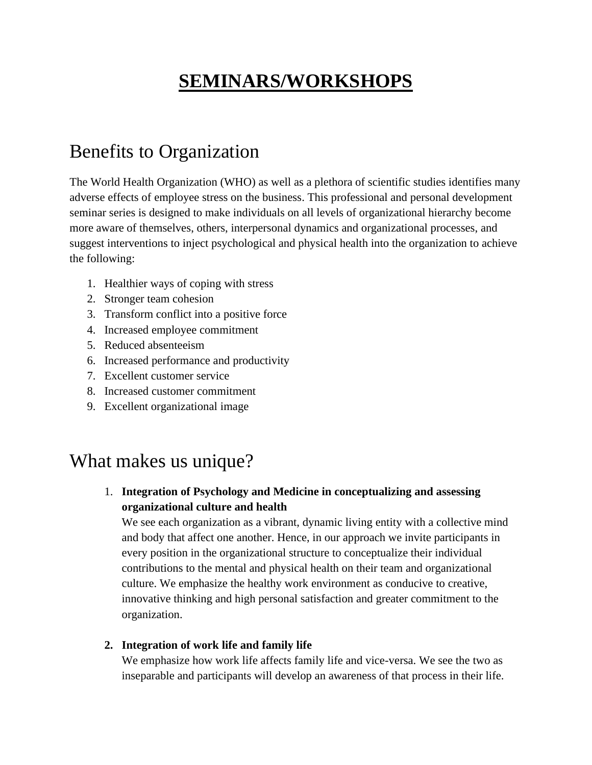# **SEMINARS/WORKSHOPS**

# Benefits to Organization

The World Health Organization (WHO) as well as a plethora of scientific studies identifies many adverse effects of employee stress on the business. This professional and personal development seminar series is designed to make individuals on all levels of organizational hierarchy become more aware of themselves, others, interpersonal dynamics and organizational processes, and suggest interventions to inject psychological and physical health into the organization to achieve the following:

- 1. Healthier ways of coping with stress
- 2. Stronger team cohesion
- 3. Transform conflict into a positive force
- 4. Increased employee commitment
- 5. Reduced absenteeism
- 6. Increased performance and productivity
- 7. Excellent customer service
- 8. Increased customer commitment
- 9. Excellent organizational image

### What makes us unique?

1. **Integration of Psychology and Medicine in conceptualizing and assessing organizational culture and health**

We see each organization as a vibrant, dynamic living entity with a collective mind and body that affect one another. Hence, in our approach we invite participants in every position in the organizational structure to conceptualize their individual contributions to the mental and physical health on their team and organizational culture. We emphasize the healthy work environment as conducive to creative, innovative thinking and high personal satisfaction and greater commitment to the organization.

#### **2. Integration of work life and family life**

We emphasize how work life affects family life and vice-versa. We see the two as inseparable and participants will develop an awareness of that process in their life.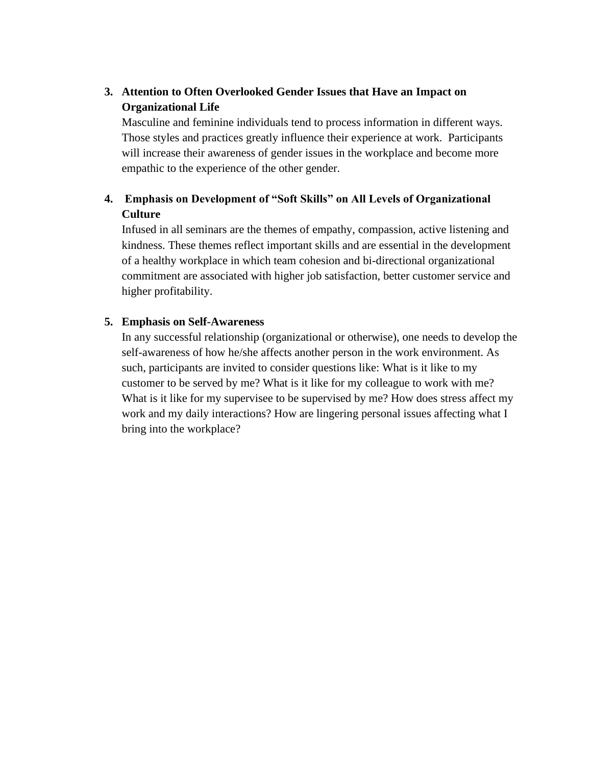#### **3. Attention to Often Overlooked Gender Issues that Have an Impact on Organizational Life**

Masculine and feminine individuals tend to process information in different ways. Those styles and practices greatly influence their experience at work. Participants will increase their awareness of gender issues in the workplace and become more empathic to the experience of the other gender.

#### **4. Emphasis on Development of "Soft Skills" on All Levels of Organizational Culture**

Infused in all seminars are the themes of empathy, compassion, active listening and kindness. These themes reflect important skills and are essential in the development of a healthy workplace in which team cohesion and bi-directional organizational commitment are associated with higher job satisfaction, better customer service and higher profitability.

#### **5. Emphasis on Self-Awareness**

In any successful relationship (organizational or otherwise), one needs to develop the self-awareness of how he/she affects another person in the work environment. As such, participants are invited to consider questions like: What is it like to my customer to be served by me? What is it like for my colleague to work with me? What is it like for my supervisee to be supervised by me? How does stress affect my work and my daily interactions? How are lingering personal issues affecting what I bring into the workplace?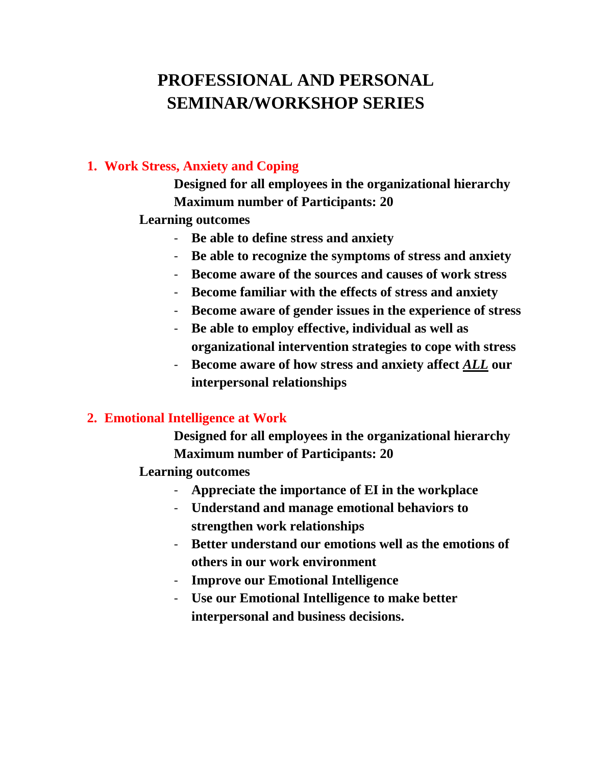# **PROFESSIONAL AND PERSONAL SEMINAR/WORKSHOP SERIES**

#### **1. Work Stress, Anxiety and Coping**

**Designed for all employees in the organizational hierarchy Maximum number of Participants: 20**

#### **Learning outcomes**

- **Be able to define stress and anxiety**
- **Be able to recognize the symptoms of stress and anxiety**
- **Become aware of the sources and causes of work stress**
- **Become familiar with the effects of stress and anxiety**
- **Become aware of gender issues in the experience of stress**
- **Be able to employ effective, individual as well as organizational intervention strategies to cope with stress**
- **Become aware of how stress and anxiety affect** *ALL* **our interpersonal relationships**

#### **2. Emotional Intelligence at Work**

**Designed for all employees in the organizational hierarchy Maximum number of Participants: 20**

- **Appreciate the importance of EI in the workplace**
- **Understand and manage emotional behaviors to strengthen work relationships**
- **Better understand our emotions well as the emotions of others in our work environment**
- **Improve our Emotional Intelligence**
- **Use our Emotional Intelligence to make better interpersonal and business decisions.**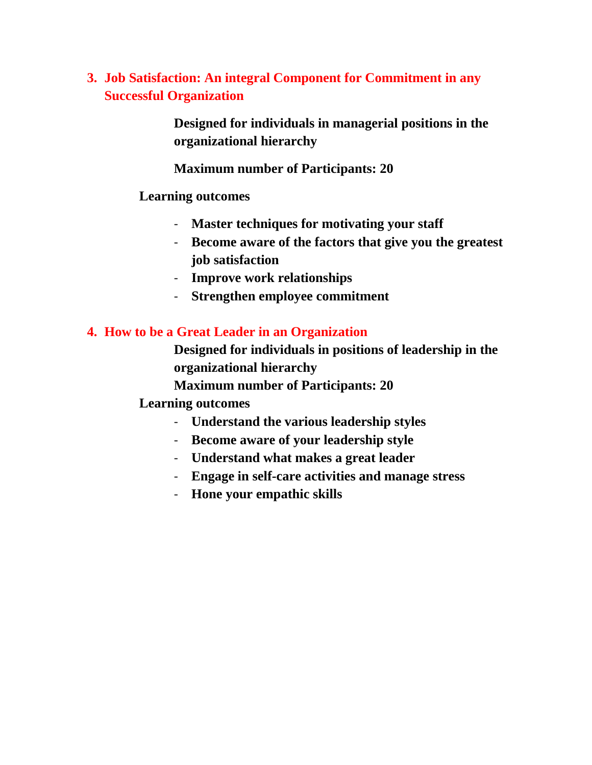### **3. Job Satisfaction: An integral Component for Commitment in any Successful Organization**

**Designed for individuals in managerial positions in the organizational hierarchy**

**Maximum number of Participants: 20**

#### **Learning outcomes**

- **Master techniques for motivating your staff**
- **Become aware of the factors that give you the greatest job satisfaction**
- **Improve work relationships**
- **Strengthen employee commitment**

#### **4. How to be a Great Leader in an Organization**

**Designed for individuals in positions of leadership in the organizational hierarchy**

**Maximum number of Participants: 20**

- **Understand the various leadership styles**
- **Become aware of your leadership style**
- **Understand what makes a great leader**
- **Engage in self-care activities and manage stress**
- **Hone your empathic skills**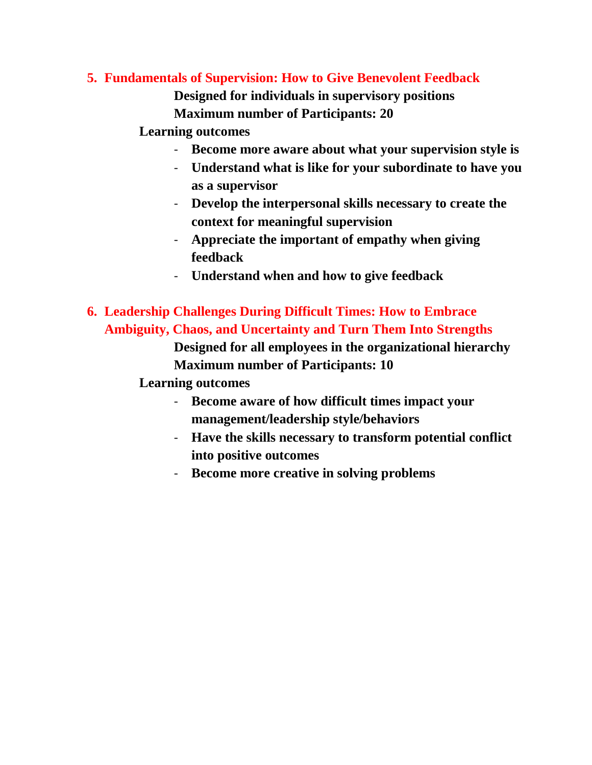#### **5. Fundamentals of Supervision: How to Give Benevolent Feedback**

**Designed for individuals in supervisory positions Maximum number of Participants: 20**

#### **Learning outcomes**

- **Become more aware about what your supervision style is**
- **Understand what is like for your subordinate to have you as a supervisor**
- **Develop the interpersonal skills necessary to create the context for meaningful supervision**
- **Appreciate the important of empathy when giving feedback**
- **Understand when and how to give feedback**
- **6. Leadership Challenges During Difficult Times: How to Embrace Ambiguity, Chaos, and Uncertainty and Turn Them Into Strengths**

**Designed for all employees in the organizational hierarchy Maximum number of Participants: 10**

- **Become aware of how difficult times impact your management/leadership style/behaviors**
- **Have the skills necessary to transform potential conflict into positive outcomes**
- **Become more creative in solving problems**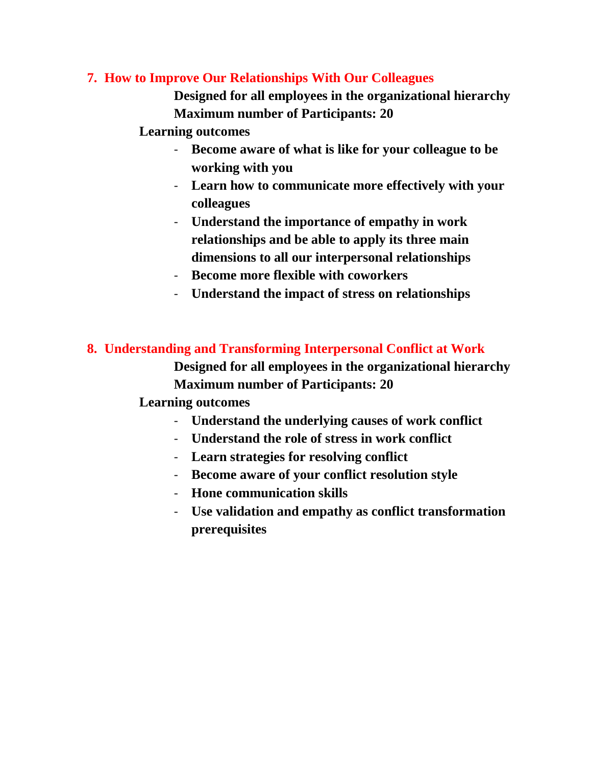#### **7. How to Improve Our Relationships With Our Colleagues**

**Designed for all employees in the organizational hierarchy Maximum number of Participants: 20**

#### **Learning outcomes**

- **Become aware of what is like for your colleague to be working with you**
- **Learn how to communicate more effectively with your colleagues**
- **Understand the importance of empathy in work relationships and be able to apply its three main dimensions to all our interpersonal relationships**
- **Become more flexible with coworkers**
- **Understand the impact of stress on relationships**

#### **8. Understanding and Transforming Interpersonal Conflict at Work**

**Designed for all employees in the organizational hierarchy Maximum number of Participants: 20**

- **Understand the underlying causes of work conflict**
- **Understand the role of stress in work conflict**
- **Learn strategies for resolving conflict**
- **Become aware of your conflict resolution style**
- **Hone communication skills**
- **Use validation and empathy as conflict transformation prerequisites**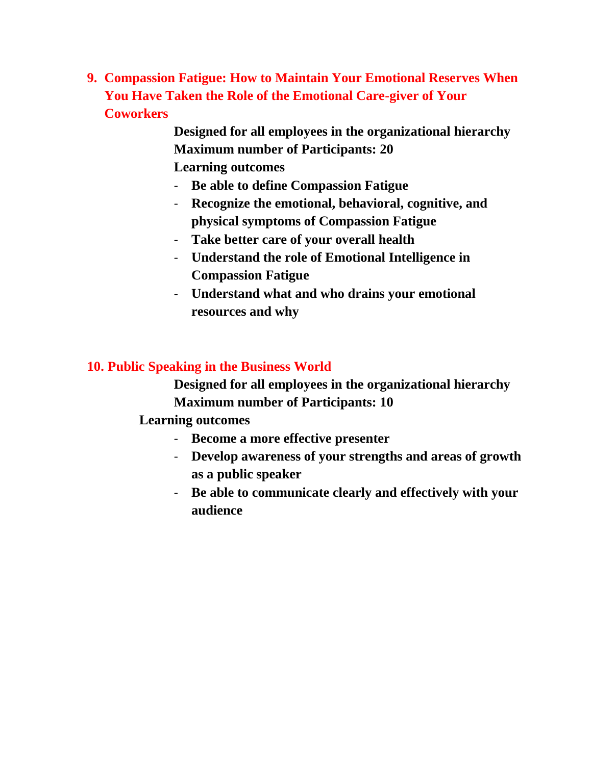**9. Compassion Fatigue: How to Maintain Your Emotional Reserves When You Have Taken the Role of the Emotional Care-giver of Your Coworkers**

> **Designed for all employees in the organizational hierarchy Maximum number of Participants: 20 Learning outcomes**

- **Be able to define Compassion Fatigue**
- **Recognize the emotional, behavioral, cognitive, and physical symptoms of Compassion Fatigue**
- **Take better care of your overall health**
- **Understand the role of Emotional Intelligence in Compassion Fatigue**
- **Understand what and who drains your emotional resources and why**

### **10. Public Speaking in the Business World**

**Designed for all employees in the organizational hierarchy Maximum number of Participants: 10**

- **Become a more effective presenter**
- **Develop awareness of your strengths and areas of growth as a public speaker**
- **Be able to communicate clearly and effectively with your audience**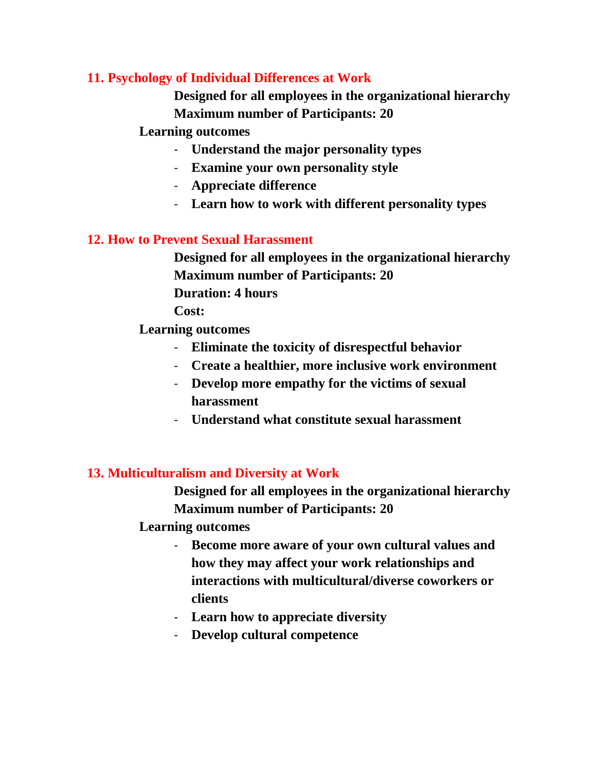#### **11. Psychology of Individual Differences at Work**

**Designed for all employees in the organizational hierarchy Maximum number of Participants: 20**

#### **Learning outcomes**

- **Understand the major personality types**
- **Examine your own personality style**
- **Appreciate difference**
- **Learn how to work with different personality types**

#### **12. How to Prevent Sexual Harassment**

**Designed for all employees in the organizational hierarchy Maximum number of Participants: 20 Duration: 4 hours** 

**Cost:**

**Learning outcomes**

- **Eliminate the toxicity of disrespectful behavior**
- **Create a healthier, more inclusive work environment**
- **Develop more empathy for the victims of sexual harassment**
- **Understand what constitute sexual harassment**

#### **13. Multiculturalism and Diversity at Work**

**Designed for all employees in the organizational hierarchy Maximum number of Participants: 20**

- **Become more aware of your own cultural values and how they may affect your work relationships and interactions with multicultural/diverse coworkers or clients**
- **Learn how to appreciate diversity**
- **Develop cultural competence**